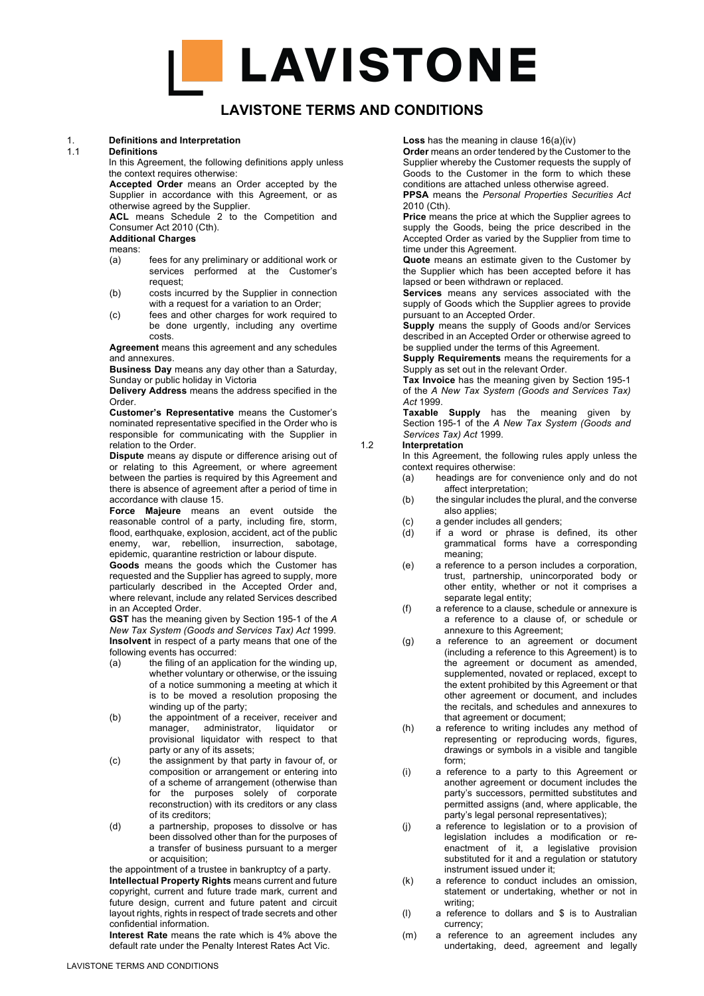## **LAVISTONE TERMS AND CONDITIONS**

#### 1. **Definitions and Interpretation**

#### 1.1 **Definitions**

In this Agreement, the following definitions apply unless the context requires otherwise:

**Accepted Order** means an Order accepted by the Supplier in accordance with this Agreement, or as otherwise agreed by the Supplier.

ACL means Schedule 2 to the Competition and Consumer Act 2010 (Cth).

#### **Additional Charges**

means:

- (a) fees for any preliminary or additional work or services performed at the Customer's request;
- (b) costs incurred by the Supplier in connection with a request for a variation to an Order;
- (c) fees and other charges for work required to be done urgently, including any overtime costs.

**Agreement** means this agreement and any schedules and annexures.

**Business Day** means any day other than a Saturday, Sunday or public holiday in Victoria

**Delivery Address** means the address specified in the Order.

**Customer's Representative** means the Customer's nominated representative specified in the Order who is responsible for communicating with the Supplier in relation to the Order.

**Dispute** means ay dispute or difference arising out of or relating to this Agreement, or where agreement between the parties is required by this Agreement and there is absence of agreement after a period of time in accordance with clause 15.

**Force Majeure** means an event outside the reasonable control of a party, including fire, storm, flood, earthquake, explosion, accident, act of the public enemy, war, rebellion, insurrection, sabotage, epidemic, quarantine restriction or labour dispute.

**Goods** means the goods which the Customer has requested and the Supplier has agreed to supply, more particularly described in the Accepted Order and, where relevant, include any related Services described in an Accepted Order.

**GST** has the meaning given by Section 195-1 of the *A New Tax System (Goods and Services Tax) Act* 1999. **Insolvent** in respect of a party means that one of the following events has occurred:

- (a) the filing of an application for the winding up, whether voluntary or otherwise, or the issuing of a notice summoning a meeting at which it is to be moved a resolution proposing the winding up of the party;
- (b) the appointment of a receiver, receiver and manager, administrator, liquidator or provisional liquidator with respect to that party or any of its assets;
- (c) the assignment by that party in favour of, or composition or arrangement or entering into of a scheme of arrangement (otherwise than for the purposes solely of corporate reconstruction) with its creditors or any class of its creditors;
- (d) a partnership, proposes to dissolve or has been dissolved other than for the purposes of a transfer of business pursuant to a merger or acquisition;

the appointment of a trustee in bankruptcy of a party. **Intellectual Property Rights** means current and future copyright, current and future trade mark, current and future design, current and future patent and circuit layout rights, rights in respect of trade secrets and other confidential information.

**Interest Rate** means the rate which is 4% above the default rate under the Penalty Interest Rates Act Vic.

**Loss** has the meaning in clause 16(a)(iv)

**Order** means an order tendered by the Customer to the Supplier whereby the Customer requests the supply of Goods to the Customer in the form to which these conditions are attached unless otherwise agreed.

**PPSA** means the *Personal Properties Securities Act* 2010 (Cth).

**Price** means the price at which the Supplier agrees to supply the Goods, being the price described in the Accepted Order as varied by the Supplier from time to time under this Agreement.

**Quote** means an estimate given to the Customer by the Supplier which has been accepted before it has lapsed or been withdrawn or replaced.

**Services** means any services associated with the supply of Goods which the Supplier agrees to provide pursuant to an Accepted Order.

**Supply** means the supply of Goods and/or Services described in an Accepted Order or otherwise agreed to be supplied under the terms of this Agreement.

**Supply Requirements** means the requirements for a Supply as set out in the relevant Order.

**Tax Invoice** has the meaning given by Section 195-1 of the *A New Tax System (Goods and Services Tax) Act* 1999.

**Taxable Supply** has the meaning given by Section 195-1 of the *A New Tax System (Goods and Services Tax) Act* 1999.

#### 1.2 **Interpretation**

In this Agreement, the following rules apply unless the context requires otherwise:

- (a) headings are for convenience only and do not affect interpretation;
- (b) the singular includes the plural, and the converse also applies;
- (c) a gender includes all genders;
- (d) if a word or phrase is defined, its other grammatical forms have a corresponding meaning;
- (e) a reference to a person includes a corporation, trust, partnership, unincorporated body or other entity, whether or not it comprises a separate legal entity;
- (f) a reference to a clause, schedule or annexure is a reference to a clause of, or schedule or annexure to this Agreement;
- (g) a reference to an agreement or document (including a reference to this Agreement) is to the agreement or document as amended, supplemented, novated or replaced, except to the extent prohibited by this Agreement or that other agreement or document, and includes the recitals, and schedules and annexures to that agreement or document;
- (h) a reference to writing includes any method of representing or reproducing words, figures, drawings or symbols in a visible and tangible form;
- (i) a reference to a party to this Agreement or another agreement or document includes the party's successors, permitted substitutes and permitted assigns (and, where applicable, the party's legal personal representatives);
- (j) a reference to legislation or to a provision of legislation includes a modification or reenactment of it, a legislative provision substituted for it and a regulation or statutory instrument issued under it;
- (k) a reference to conduct includes an omission, statement or undertaking, whether or not in writing:
- (l) a reference to dollars and \$ is to Australian currency;
- (m) a reference to an agreement includes any undertaking, deed, agreement and legally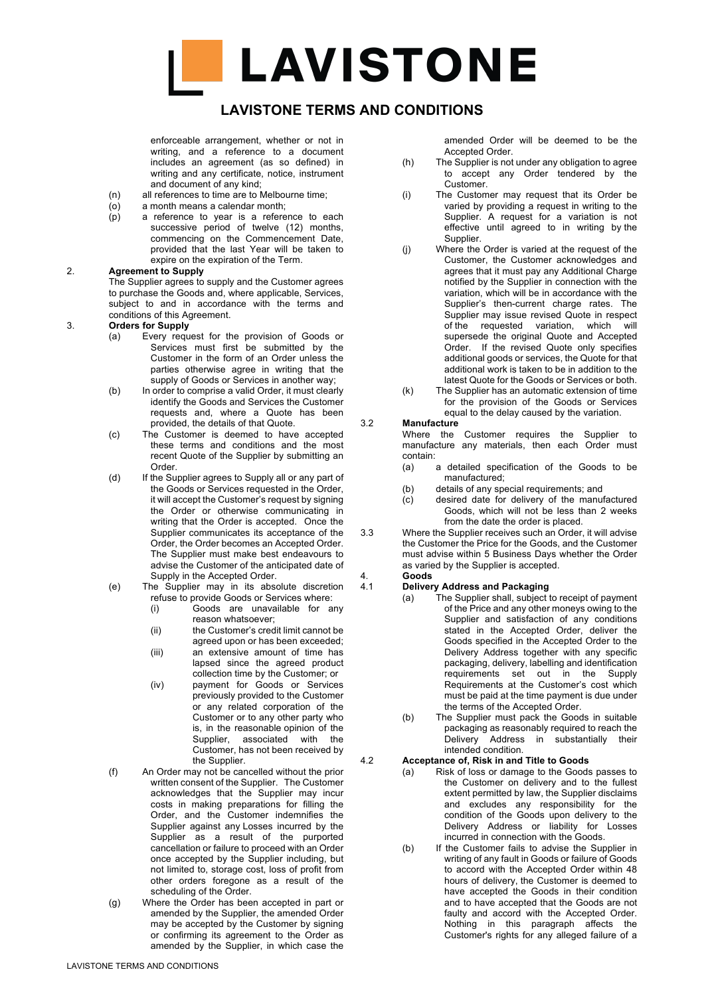## **LAVISTONE TERMS AND CONDITIONS**

enforceable arrangement, whether or not in writing, and a reference to a document includes an agreement (as so defined) in writing and any certificate, notice, instrument and document of any kind;

- (n) all references to time are to Melbourne time;
- $(a)$  a month means a calendar month;<br> $(b)$  a reference to year is a refere
- a reference to year is a reference to each successive period of twelve (12) months, commencing on the Commencement Date, provided that the last Year will be taken to expire on the expiration of the Term.

#### 2. **Agreement to Supply**

The Supplier agrees to supply and the Customer agrees to purchase the Goods and, where applicable, Services, subject to and in accordance with the terms and conditions of this Agreement.

- 3. **Orders for Supply**
	- (a) Every request for the provision of Goods or Services must first be submitted by the Customer in the form of an Order unless the parties otherwise agree in writing that the supply of Goods or Services in another way;
	- (b) In order to comprise a valid Order, it must clearly identify the Goods and Services the Customer requests and, where a Quote has been provided, the details of that Quote.
	- (c) The Customer is deemed to have accepted these terms and conditions and the most recent Quote of the Supplier by submitting an Order.
	- (d) If the Supplier agrees to Supply all or any part of the Goods or Services requested in the Order, it will accept the Customer's request by signing the Order or otherwise communicating in writing that the Order is accepted. Once the Supplier communicates its acceptance of the Order, the Order becomes an Accepted Order. The Supplier must make best endeavours to advise the Customer of the anticipated date of Supply in the Accepted Order.
	- (e) The Supplier may in its absolute discretion refuse to provide Goods or Services where:
		- (i) Goods are unavailable for any reason whatsoever;
		- (ii) the Customer's credit limit cannot be agreed upon or has been exceeded;
		- (iii) an extensive amount of time has lapsed since the agreed product collection time by the Customer; or
		- (iv) payment for Goods or Services previously provided to the Customer or any related corporation of the Customer or to any other party who is, in the reasonable opinion of the Supplier, associated with the Customer, has not been received by the Supplier.
	- (f) An Order may not be cancelled without the prior written consent of the Supplier. The Customer acknowledges that the Supplier may incur costs in making preparations for filling the Order, and the Customer indemnifies the Supplier against any Losses incurred by the Supplier as a result of the purported cancellation or failure to proceed with an Order once accepted by the Supplier including, but not limited to, storage cost, loss of profit from other orders foregone as a result of the scheduling of the Order.
	- (g) Where the Order has been accepted in part or amended by the Supplier, the amended Order may be accepted by the Customer by signing or confirming its agreement to the Order as amended by the Supplier, in which case the

amended Order will be deemed to be the Accepted Order.

- (h) The Supplier is not under any obligation to agree to accept any Order tendered by the Customer.
- (i) The Customer may request that its Order be varied by providing a request in writing to the Supplier. A request for a variation is not effective until agreed to in writing by the Supplier.
- (j) Where the Order is varied at the request of the Customer, the Customer acknowledges and agrees that it must pay any Additional Charge notified by the Supplier in connection with the variation, which will be in accordance with the Supplier's then-current charge rates. The Supplier may issue revised Quote in respect of the requested variation, which will supersede the original Quote and Accepted Order. If the revised Quote only specifies additional goods or services, the Quote for that additional work is taken to be in addition to the latest Quote for the Goods or Services or both.
- (k) The Supplier has an automatic extension of time for the provision of the Goods or Services equal to the delay caused by the variation.

#### 3.2 **Manufacture**

Where the Customer requires the Supplier to manufacture any materials, then each Order must contain:

- (a) a detailed specification of the Goods to be manufactured;
- (b) details of any special requirements; and
- (c) desired date for delivery of the manufactured Goods, which will not be less than 2 weeks from the date the order is placed.
- 3.3 Where the Supplier receives such an Order, it will advise the Customer the Price for the Goods, and the Customer must advise within 5 Business Days whether the Order as varied by the Supplier is accepted.

# 4. **Goods**

#### 4.1 **Delivery Address and Packaging**

- (a) The Supplier shall, subject to receipt of payment of the Price and any other moneys owing to the Supplier and satisfaction of any conditions stated in the Accepted Order, deliver the Goods specified in the Accepted Order to the Delivery Address together with any specific packaging, delivery, labelling and identification requirements set out in the Supply Requirements at the Customer's cost which must be paid at the time payment is due under the terms of the Accepted Order.
- (b) The Supplier must pack the Goods in suitable packaging as reasonably required to reach the Delivery Address in substantially their intended condition.

### 4.2 **Acceptance of, Risk in and Title to Goods**

- (a) Risk of loss or damage to the Goods passes to the Customer on delivery and to the fullest extent permitted by law, the Supplier disclaims and excludes any responsibility for the condition of the Goods upon delivery to the Delivery Address or liability for Losses incurred in connection with the Goods.
- (b) If the Customer fails to advise the Supplier in writing of any fault in Goods or failure of Goods to accord with the Accepted Order within 48 hours of delivery, the Customer is deemed to have accepted the Goods in their condition and to have accepted that the Goods are not faulty and accord with the Accepted Order. Nothing in this paragraph affects the Customer's rights for any alleged failure of a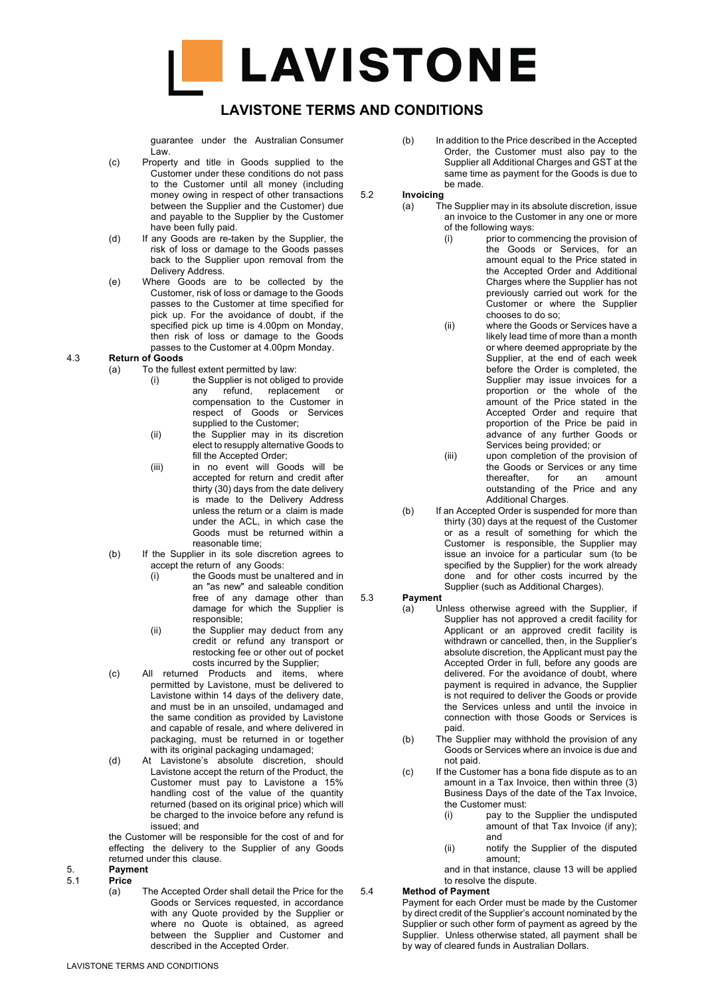

## **LAVISTONE TERMS AND CONDITIONS**

guarantee under the Australian Consumer Law.

- (c) Property and title in Goods supplied to the Customer under these conditions do not pass to the Customer until all money (including money owing in respect of other transactions between the Supplier and the Customer) due and payable to the Supplier by the Customer have been fully paid.
- (d) If any Goods are re-taken by the Supplier, the risk of loss or damage to the Goods passes back to the Supplier upon removal from the Delivery Address.
- (e) Where Goods are to be collected by the Customer, risk of loss or damage to the Goods passes to the Customer at time specified for pick up. For the avoidance of doubt, if the specified pick up time is 4.00pm on Monday, then risk of loss or damage to the Goods passes to the Customer at 4.00pm Monday.

#### 4.3 **Return of Goods**

- (a) To the fullest extent permitted by law:
	- (i) the Supplier is not obliged to provide any refund, replacement or compensation to the Customer in respect of Goods or Services supplied to the Customer:
	- (ii) the Supplier may in its discretion elect to resupply alternative Goods to fill the Accepted Order;
	- (iii) in no event will Goods will be accepted for return and credit after thirty (30) days from the date delivery is made to the Delivery Address unless the return or a claim is made under the ACL, in which case the Goods must be returned within a reasonable time;
- (b) If the Supplier in its sole discretion agrees to accept the return of any Goods:
	- (i) the Goods must be unaltered and in an "as new" and saleable condition free of any damage other than damage for which the Supplier is responsible;
	- (ii) the Supplier may deduct from any credit or refund any transport or restocking fee or other out of pocket costs incurred by the Supplier;
- (c) All returned Products and items, where permitted by Lavistone, must be delivered to Lavistone within 14 days of the delivery date, and must be in an unsoiled, undamaged and the same condition as provided by Lavistone and capable of resale, and where delivered in packaging, must be returned in or together with its original packaging undamaged;
- (d) At Lavistone's absolute discretion, should Lavistone accept the return of the Product, the Customer must pay to Lavistone a 15% handling cost of the value of the quantity returned (based on its original price) which will be charged to the invoice before any refund is issued; and

the Customer will be responsible for the cost of and for effecting the delivery to the Supplier of any Goods returned under this clause.

- 
- 5. **Payment** 5.1 **Price**
	- (a) The Accepted Order shall detail the Price for the Goods or Services requested, in accordance with any Quote provided by the Supplier or where no Quote is obtained, as agreed between the Supplier and Customer and described in the Accepted Order.

(b) In addition to the Price described in the Accepted Order, the Customer must also pay to the Supplier all Additional Charges and GST at the same time as payment for the Goods is due to be made.

5.2 **Invoicing**

- (a) The Supplier may in its absolute discretion, issue an invoice to the Customer in any one or more of the following ways:
	- (i) prior to commencing the provision of the Goods or Services, for an amount equal to the Price stated in the Accepted Order and Additional Charges where the Supplier has not previously carried out work for the Customer or where the Supplier chooses to do so;
	- (ii) where the Goods or Services have a likely lead time of more than a month or where deemed appropriate by the Supplier, at the end of each week before the Order is completed, the Supplier may issue invoices for a proportion or the whole of the amount of the Price stated in the Accepted Order and require that proportion of the Price be paid in advance of any further Goods or Services being provided; or
	- (iii) upon completion of the provision of the Goods or Services or any time thereafter, for an amount outstanding of the Price and any Additional Charges.
- (b) If an Accepted Order is suspended for more than thirty (30) days at the request of the Customer or as a result of something for which the Customer is responsible, the Supplier may issue an invoice for a particular sum (to be specified by the Supplier) for the work already done and for other costs incurred by the Supplier (such as Additional Charges).

#### 5.3 **Payment**

- (a) Unless otherwise agreed with the Supplier, if Supplier has not approved a credit facility for Applicant or an approved credit facility is withdrawn or cancelled, then, in the Supplier's absolute discretion, the Applicant must pay the Accepted Order in full, before any goods are delivered. For the avoidance of doubt, where payment is required in advance, the Supplier is not required to deliver the Goods or provide the Services unless and until the invoice in connection with those Goods or Services is paid.
- (b) The Supplier may withhold the provision of any Goods or Services where an invoice is due and not paid.
- (c) If the Customer has a bona fide dispute as to an amount in a Tax Invoice, then within three (3) Business Days of the date of the Tax Invoice, the Customer must:
	- (i) pay to the Supplier the undisputed amount of that Tax Invoice (if any); and
	- (ii) notify the Supplier of the disputed amount;
	- and in that instance, clause 13 will be applied to resolve the dispute.

#### 5.4 **Method of Payment**

Payment for each Order must be made by the Customer by direct credit of the Supplier's account nominated by the Supplier or such other form of payment as agreed by the Supplier. Unless otherwise stated, all payment shall be by way of cleared funds in Australian Dollars.

LAVISTONE TERMS AND CONDITIONS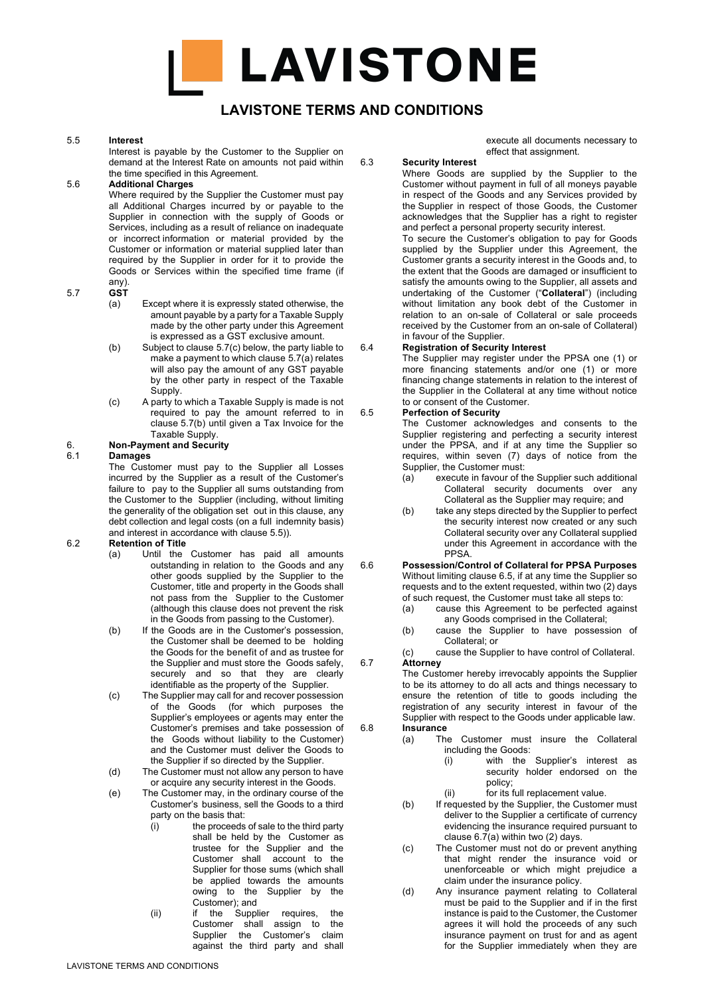## **LAVISTONE TERMS AND CONDITIONS**

#### 5.5 **Interest**

Interest is payable by the Customer to the Supplier on demand at the Interest Rate on amounts not paid within the time specified in this Agreement.

#### 5.6 **Additional Charges**

Where required by the Supplier the Customer must pay all Additional Charges incurred by or payable to the Supplier in connection with the supply of Goods or Services, including as a result of reliance on inadequate or incorrect information or material provided by the Customer or information or material supplied later than required by the Supplier in order for it to provide the Goods or Services within the specified time frame (if any).

#### 5.7 **GST**

- (a) Except where it is expressly stated otherwise, the amount payable by a party for a Taxable Supply made by the other party under this Agreement is expressed as a GST exclusive amount.
- (b) Subject to clause 5.7(c) below, the party liable to make a payment to which clause 5.7(a) relates will also pay the amount of any GST payable by the other party in respect of the Taxable Supply.
- (c) A party to which a Taxable Supply is made is not required to pay the amount referred to in clause 5.7(b) until given a Tax Invoice for the Taxable Supply.

# 6. **Non-Payment and Security**

#### 6.1 **Damages**

The Customer must pay to the Supplier all Losses incurred by the Supplier as a result of the Customer's failure to pay to the Supplier all sums outstanding from the Customer to the Supplier (including, without limiting the generality of the obligation set out in this clause, any debt collection and legal costs (on a full indemnity basis) and interest in accordance with clause 5.5)).

### 6.2 **Retention of Title**

- (a) Until the Customer has paid all amounts outstanding in relation to the Goods and any other goods supplied by the Supplier to the Customer, title and property in the Goods shall not pass from the Supplier to the Customer (although this clause does not prevent the risk in the Goods from passing to the Customer).
- (b) If the Goods are in the Customer's possession, the Customer shall be deemed to be holding the Goods for the benefit of and as trustee for the Supplier and must store the Goods safely, securely and so that they are clearly identifiable as the property of the Supplier.
- (c) The Supplier may call for and recover possession of the Goods (for which purposes the Supplier's employees or agents may enter the Customer's premises and take possession of the Goods without liability to the Customer) and the Customer must deliver the Goods to the Supplier if so directed by the Supplier.
- (d) The Customer must not allow any person to have or acquire any security interest in the Goods.
- (e) The Customer may, in the ordinary course of the Customer's business, sell the Goods to a third party on the basis that:
	- $(i)$  the proceeds of sale to the third party shall be held by the Customer as trustee for the Supplier and the Customer shall account to the Supplier for those sums (which shall be applied towards the amounts owing to the Supplier by the Customer); and
	- (ii) if the Supplier requires, the Customer shall assign to the Supplier the Customer's claim against the third party and shall

execute all documents necessary to effect that assignment.

6.3 **Security Interest**

Where Goods are supplied by the Supplier to the Customer without payment in full of all moneys payable in respect of the Goods and any Services provided by the Supplier in respect of those Goods, the Customer acknowledges that the Supplier has a right to register and perfect a personal property security interest.

To secure the Customer's obligation to pay for Goods supplied by the Supplier under this Agreement, the Customer grants a security interest in the Goods and, to the extent that the Goods are damaged or insufficient to satisfy the amounts owing to the Supplier, all assets and undertaking of the Customer ("**Collateral**") (including without limitation any book debt of the Customer in relation to an on-sale of Collateral or sale proceeds received by the Customer from an on-sale of Collateral) in favour of the Supplier.

#### 6.4 **Registration of Security Interest**

The Supplier may register under the PPSA one (1) or more financing statements and/or one (1) or more financing change statements in relation to the interest of the Supplier in the Collateral at any time without notice to or consent of the Customer.

#### 6.5 **Perfection of Security**

The Customer acknowledges and consents to the Supplier registering and perfecting a security interest under the PPSA, and if at any time the Supplier so requires, within seven (7) days of notice from the Supplier, the Customer must:

- (a) execute in favour of the Supplier such additional Collateral security documents over any Collateral as the Supplier may require; and
- (b) take any steps directed by the Supplier to perfect the security interest now created or any such Collateral security over any Collateral supplied under this Agreement in accordance with the PPSA.
- 6.6 **Possession/Control of Collateral for PPSA Purposes** Without limiting clause 6.5, if at any time the Supplier so requests and to the extent requested, within two (2) days of such request, the Customer must take all steps to:
	- (a) cause this Agreement to be perfected against any Goods comprised in the Collateral;
	- (b) cause the Supplier to have possession of Collateral; or

(c) cause the Supplier to have control of Collateral. 6.7 **Attorney**

The Customer hereby irrevocably appoints the Supplier to be its attorney to do all acts and things necessary to ensure the retention of title to goods including the registration of any security interest in favour of the

#### Supplier with respect to the Goods under applicable law. 6.8 **Insurance**

- (a) The Customer must insure the Collateral including the Goods:
	- (i) with the Supplier's interest as security holder endorsed on the policy;
	- (ii) for its full replacement value.
- (b) If requested by the Supplier, the Customer must deliver to the Supplier a certificate of currency evidencing the insurance required pursuant to clause 6.7(a) within two (2) days.
- (c) The Customer must not do or prevent anything that might render the insurance void or unenforceable or which might prejudice a claim under the insurance policy.
- (d) Any insurance payment relating to Collateral must be paid to the Supplier and if in the first instance is paid to the Customer, the Customer agrees it will hold the proceeds of any such insurance payment on trust for and as agent for the Supplier immediately when they are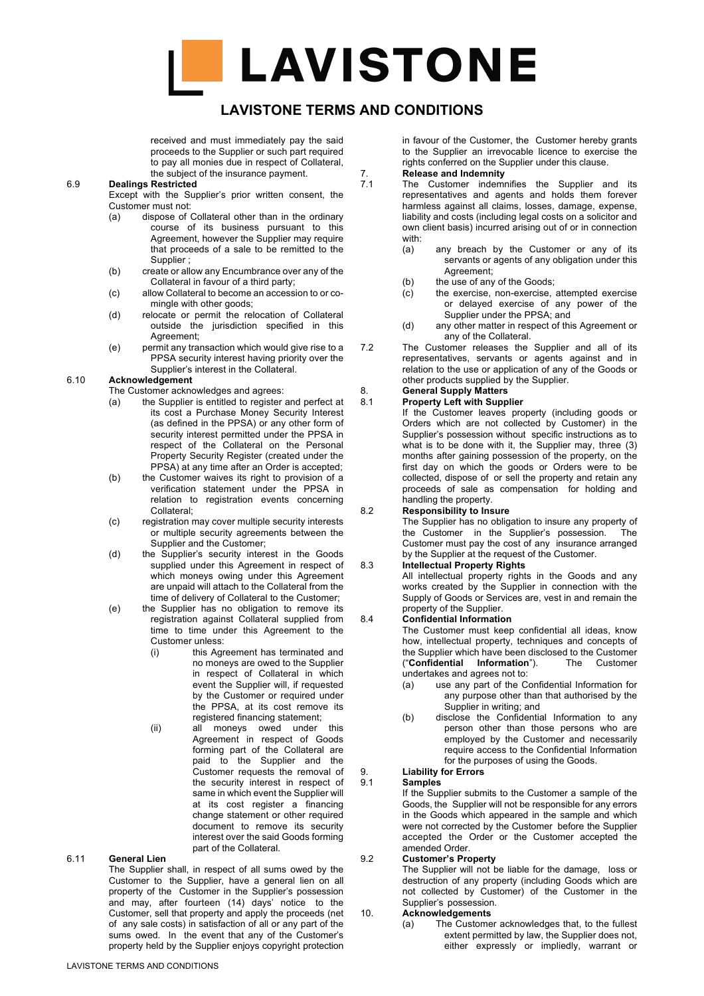## **LAVISTONE TERMS AND CONDITIONS**

received and must immediately pay the said proceeds to the Supplier or such part required to pay all monies due in respect of Collateral, the subject of the insurance payment.

#### 6.9 **Dealings Restricted**

Except with the Supplier's prior written consent, the Customer must not:

- (a) dispose of Collateral other than in the ordinary course of its business pursuant to this Agreement, however the Supplier may require that proceeds of a sale to be remitted to the **Supplier**
- (b) create or allow any Encumbrance over any of the Collateral in favour of a third party;
- (c) allow Collateral to become an accession to or comingle with other goods;
- (d) relocate or permit the relocation of Collateral outside the jurisdiction specified in this Agreement;
- (e) permit any transaction which would give rise to a PPSA security interest having priority over the Supplier's interest in the Collateral.

#### 6.10 **Acknowledgement**

The Customer acknowledges and agrees:

- (a) the Supplier is entitled to register and perfect at its cost a Purchase Money Security Interest (as defined in the PPSA) or any other form of security interest permitted under the PPSA in respect of the Collateral on the Personal Property Security Register (created under the PPSA) at any time after an Order is accepted;
- (b) the Customer waives its right to provision of a verification statement under the PPSA in relation to registration events concerning Collateral;
- (c) registration may cover multiple security interests or multiple security agreements between the Supplier and the Customer;
- (d) the Supplier's security interest in the Goods supplied under this Agreement in respect of which moneys owing under this Agreement are unpaid will attach to the Collateral from the time of delivery of Collateral to the Customer;
- (e) the Supplier has no obligation to remove its registration against Collateral supplied from time to time under this Agreement to the Customer unless:
	- (i) this Agreement has terminated and no moneys are owed to the Supplier in respect of Collateral in which event the Supplier will, if requested by the Customer or required under the PPSA, at its cost remove its registered financing statement;
	- (ii) all moneys owed under this Agreement in respect of Goods forming part of the Collateral are paid to the Supplier and the Customer requests the removal of the security interest in respect of same in which event the Supplier will at its cost register a financing change statement or other required document to remove its security interest over the said Goods forming part of the Collateral.

#### 6.11 **General Lien**

The Supplier shall, in respect of all sums owed by the Customer to the Supplier, have a general lien on all property of the Customer in the Supplier's possession and may, after fourteen (14) days' notice to the Customer, sell that property and apply the proceeds (net of any sale costs) in satisfaction of all or any part of the sums owed. In the event that any of the Customer's property held by the Supplier enjoys copyright protection

- 7. **Release and Indemnity**<br>7.1 The Customer indemn The Customer indemnifies the Supplier and its representatives and agents and holds them forever harmless against all claims, losses, damage, expense, liability and costs (including legal costs on a solicitor and own client basis) incurred arising out of or in connection with:
	- (a) any breach by the Customer or any of its servants or agents of any obligation under this Agreement;
	- (b) the use of any of the Goods;
	- (c) the exercise, non-exercise, attempted exercise or delayed exercise of any power of the Supplier under the PPSA; and
	- (d) any other matter in respect of this Agreement or any of the Collateral.
- 7.2 The Customer releases the Supplier and all of its representatives, servants or agents against and in relation to the use or application of any of the Goods or other products supplied by the Supplier.

#### 8. **General Supply Matters**

8.1 **Property Left with Supplier**

If the Customer leaves property (including goods or Orders which are not collected by Customer) in the Supplier's possession without specific instructions as to what is to be done with it, the Supplier may, three (3) months after gaining possession of the property, on the first day on which the goods or Orders were to be collected, dispose of or sell the property and retain any proceeds of sale as compensation for holding and handling the property.

#### 8.2 **Responsibility to Insure**

The Supplier has no obligation to insure any property of the Customer in the Supplier's possession. The Customer must pay the cost of any insurance arranged by the Supplier at the request of the Customer.

#### 8.3 **Intellectual Property Rights**

All intellectual property rights in the Goods and any works created by the Supplier in connection with the Supply of Goods or Services are, vest in and remain the property of the Supplier.

#### 8.4 **Confidential Information**

The Customer must keep confidential all ideas, know how, intellectual property, techniques and concepts of the Supplier which have been disclosed to the Customer ("**Confidential Information**"). The Customer undertakes and agrees not to:

- (a) use any part of the Confidential Information for any purpose other than that authorised by the Supplier in writing; and
- (b) disclose the Confidential Information to any person other than those persons who are employed by the Customer and necessarily require access to the Confidential Information for the purposes of using the Goods.

#### 9. **Liability for Errors** 9.1 **Samples**

If the Supplier submits to the Customer a sample of the Goods, the Supplier will not be responsible for any errors in the Goods which appeared in the sample and which were not corrected by the Customer before the Supplier accepted the Order or the Customer accepted the amended Order.

#### 9.2 **Customer's Property**

The Supplier will not be liable for the damage, loss or destruction of any property (including Goods which are not collected by Customer) of the Customer in the Supplier's possession.

#### 10. **Acknowledgements**

(a) The Customer acknowledges that, to the fullest extent permitted by law, the Supplier does not, either expressly or impliedly, warrant or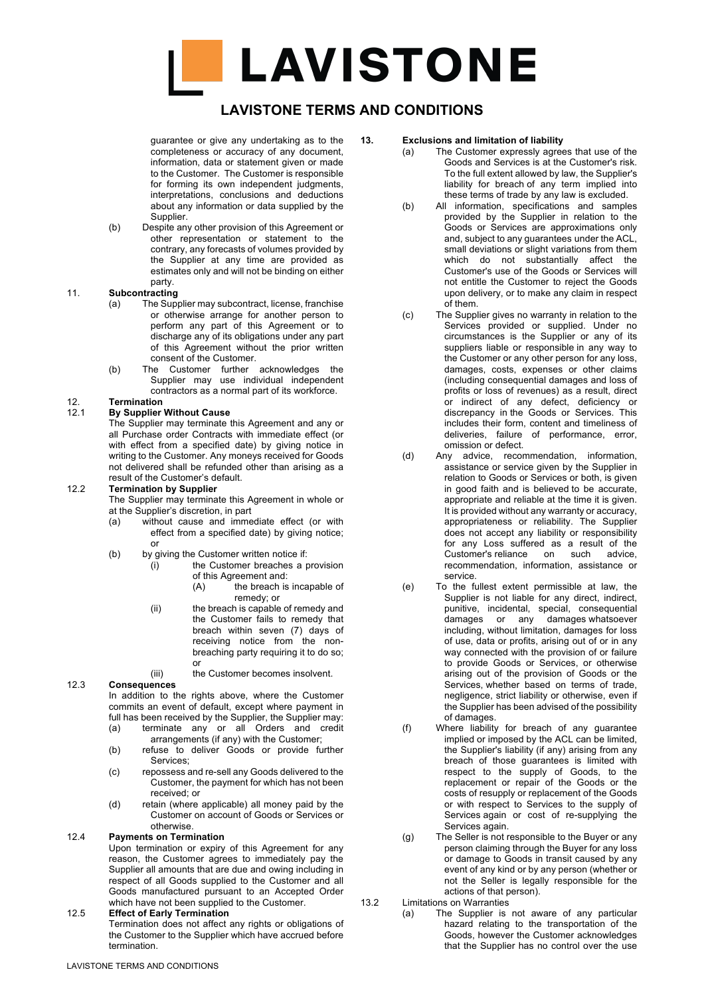## **LAVISTONE TERMS AND CONDITIONS**

guarantee or give any undertaking as to the completeness or accuracy of any document, information, data or statement given or made to the Customer. The Customer is responsible for forming its own independent judgments, interpretations, conclusions and deductions about any information or data supplied by the **Supplier** 

(b) Despite any other provision of this Agreement or other representation or statement to the contrary, any forecasts of volumes provided by the Supplier at any time are provided as estimates only and will not be binding on either party.

#### 11. **Subcontracting**

- (a) The Supplier may subcontract, license, franchise or otherwise arrange for another person to perform any part of this Agreement or to discharge any of its obligations under any part of this Agreement without the prior written consent of the Customer.
- (b) The Customer further acknowledges the Supplier may use individual independent contractors as a normal part of its workforce.

# 12. **Termination**

12.1 **By Supplier Without Cause**

The Supplier may terminate this Agreement and any or all Purchase order Contracts with immediate effect (or with effect from a specified date) by giving notice in writing to the Customer. Any moneys received for Goods not delivered shall be refunded other than arising as a result of the Customer's default.

#### 12.2 **Termination by Supplier**

The Supplier may terminate this Agreement in whole or at the Supplier's discretion, in part

- (a) without cause and immediate effect (or with effect from a specified date) by giving notice; or
- (b) by giving the Customer written notice if:
	- $(i)$  the Customer breaches a provision of this Agreement and:<br>(A) the breach is
		- the breach is incapable of remedy; or
	- $(ii)$  the breach is capable of remedy and the Customer fails to remedy that breach within seven (7) days of receiving notice from the nonbreaching party requiring it to do so; or
	- (iii) the Customer becomes insolvent.

#### 12.3 **Consequences**

In addition to the rights above, where the Customer commits an event of default, except where payment in full has been received by the Supplier, the Supplier may: (a) terminate any or all Orders and credit

- arrangements (if any) with the Customer;
- (b) refuse to deliver Goods or provide further Services;
- (c) repossess and re-sell any Goods delivered to the Customer, the payment for which has not been received; or
- (d) retain (where applicable) all money paid by the Customer on account of Goods or Services or otherwise.

#### 12.4 **Payments on Termination**

Upon termination or expiry of this Agreement for any reason, the Customer agrees to immediately pay the Supplier all amounts that are due and owing including in respect of all Goods supplied to the Customer and all Goods manufactured pursuant to an Accepted Order which have not been supplied to the Customer.

#### 12.5 **Effect of Early Termination**

Termination does not affect any rights or obligations of the Customer to the Supplier which have accrued before termination.

#### **13. Exclusions and limitation of liability**

- (a) The Customer expressly agrees that use of the Goods and Services is at the Customer's risk. To the full extent allowed by law, the Supplier's liability for breach of any term implied into these terms of trade by any law is excluded.
- (b) All information, specifications and samples provided by the Supplier in relation to the Goods or Services are approximations only and, subject to any guarantees under the ACL, small deviations or slight variations from them which do not substantially affect the Customer's use of the Goods or Services will not entitle the Customer to reject the Goods upon delivery, or to make any claim in respect of them.
- (c) The Supplier gives no warranty in relation to the Services provided or supplied. Under no circumstances is the Supplier or any of its suppliers liable or responsible in any way to the Customer or any other person for any loss, damages, costs, expenses or other claims (including consequential damages and loss of profits or loss of revenues) as a result, direct or indirect of any defect, deficiency or discrepancy in the Goods or Services. This includes their form, content and timeliness of deliveries, failure of performance, error, omission or defect.
- (d) Any advice, recommendation, information, assistance or service given by the Supplier in relation to Goods or Services or both, is given in good faith and is believed to be accurate, appropriate and reliable at the time it is given. It is provided without any warranty or accuracy, appropriateness or reliability. The Supplier does not accept any liability or responsibility for any Loss suffered as a result of the Customer's reliance on such advice, recommendation, information, assistance or service.
- (e) To the fullest extent permissible at law, the Supplier is not liable for any direct, indirect, punitive, incidental, special, consequential damages or any damages whatsoever including, without limitation, damages for loss of use, data or profits, arising out of or in any way connected with the provision of or failure to provide Goods or Services, or otherwise arising out of the provision of Goods or the Services, whether based on terms of trade, negligence, strict liability or otherwise, even if the Supplier has been advised of the possibility of damages.
- (f) Where liability for breach of any guarantee implied or imposed by the ACL can be limited, the Supplier's liability (if any) arising from any breach of those guarantees is limited with respect to the supply of Goods, to the replacement or repair of the Goods or the costs of resupply or replacement of the Goods or with respect to Services to the supply of Services again or cost of re-supplying the Services again.
- (g) The Seller is not responsible to the Buyer or any person claiming through the Buyer for any loss or damage to Goods in transit caused by any event of any kind or by any person (whether or not the Seller is legally responsible for the actions of that person).

# 13.2 Limitations on Warranties<br>(a) The Supplier is

The Supplier is not aware of any particular hazard relating to the transportation of the Goods, however the Customer acknowledges that the Supplier has no control over the use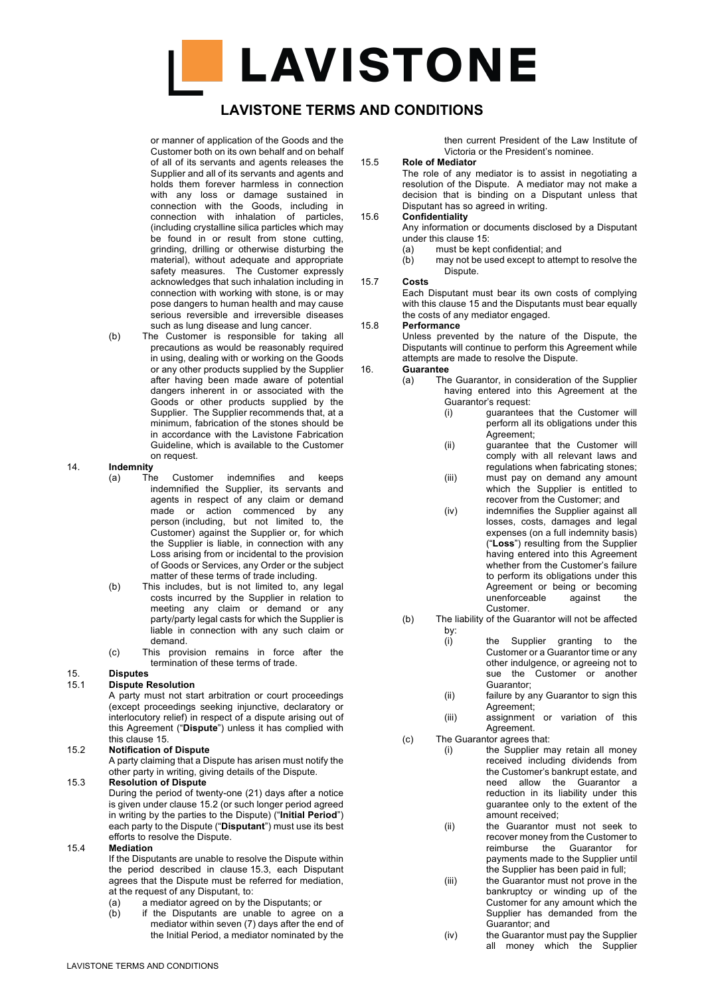

## **LAVISTONE TERMS AND CONDITIONS**

or manner of application of the Goods and the Customer both on its own behalf and on behalf of all of its servants and agents releases the Supplier and all of its servants and agents and holds them forever harmless in connection with any loss or damage sustained in connection with the Goods, including in connection with inhalation of particles, (including crystalline silica particles which may be found in or result from stone cutting, grinding, drilling or otherwise disturbing the material), without adequate and appropriate safety measures. The Customer expressly acknowledges that such inhalation including in connection with working with stone, is or may pose dangers to human health and may cause serious reversible and irreversible diseases such as lung disease and lung cancer.

(b) The Customer is responsible for taking all precautions as would be reasonably required in using, dealing with or working on the Goods or any other products supplied by the Supplier after having been made aware of potential dangers inherent in or associated with the Goods or other products supplied by the Supplier. The Supplier recommends that, at a minimum, fabrication of the stones should be in accordance with the Lavistone Fabrication Guideline, which is available to the Customer on request.

#### 14. **Indemnity**

- (a) The Customer indemnifies and keeps indemnified the Supplier, its servants and agents in respect of any claim or demand made or action commenced by any person (including, but not limited to, the Customer) against the Supplier or, for which the Supplier is liable, in connection with any Loss arising from or incidental to the provision of Goods or Services, any Order or the subject matter of these terms of trade including.
- (b) This includes, but is not limited to, any legal costs incurred by the Supplier in relation to meeting any claim or demand or any party/party legal casts for which the Supplier is liable in connection with any such claim or demand.
- (c) This provision remains in force after the termination of these terms of trade.

# 15. **Disputes**

15.1 **Dispute Resolution** A party must not start arbitration or court proceedings (except proceedings seeking injunctive, declaratory or interlocutory relief) in respect of a dispute arising out of this Agreement ("**Dispute**") unless it has complied with this clause 15.

#### 15.2 **Notification of Dispute**

A party claiming that a Dispute has arisen must notify the other party in writing, giving details of the Dispute.

### 15.3 **Resolution of Dispute**

During the period of twenty-one (21) days after a notice is given under clause 15.2 (or such longer period agreed in writing by the parties to the Dispute) ("**Initial Period**") each party to the Dispute ("**Disputant**") must use its best efforts to resolve the Dispute.

#### 15.4 **Mediation**

If the Disputants are unable to resolve the Dispute within the period described in clause 15.3, each Disputant agrees that the Dispute must be referred for mediation, at the request of any Disputant, to:

- (a) a mediator agreed on by the Disputants; or<br>(b) if the Disputants are unable to agree
- if the Disputants are unable to agree on a mediator within seven (7) days after the end of the Initial Period, a mediator nominated by the

then current President of the Law Institute of Victoria or the President's nominee.

#### 15.5 **Role of Mediator**

The role of any mediator is to assist in negotiating a resolution of the Dispute. A mediator may not make a decision that is binding on a Disputant unless that Disputant has so agreed in writing.

#### 15.6 **Confidentiality**

Any information or documents disclosed by a Disputant under this clause 15:

- (a) must be kept confidential; and
- (b) may not be used except to attempt to resolve the Dispute.

#### 15.7 **Costs**

Each Disputant must bear its own costs of complying with this clause 15 and the Disputants must bear equally the costs of any mediator engaged.

#### 15.8 **Performance**

Unless prevented by the nature of the Dispute, the Disputants will continue to perform this Agreement while attempts are made to resolve the Dispute.

#### 16. **Guarantee**

(a) The Guarantor, in consideration of the Supplier having entered into this Agreement at the Guarantor's request:

- (i) guarantees that the Customer will perform all its obligations under this Agreement;
- (ii) guarantee that the Customer will comply with all relevant laws and regulations when fabricating stones;
- (iii) must pay on demand any amount which the Supplier is entitled to recover from the Customer; and
- (iv) indemnifies the Supplier against all losses, costs, damages and legal expenses (on a full indemnity basis) ("**Loss**") resulting from the Supplier having entered into this Agreement whether from the Customer's failure to perform its obligations under this Agreement or being or becoming unenforceable against the Customer.
- (b) The liability of the Guarantor will not be affected
	- by:<br>(i) the Supplier granting to the Customer or a Guarantor time or any other indulgence, or agreeing not to sue the Customer or another Guarantor;
	- (ii) failure by any Guarantor to sign this Agreement;

(iii) assignment or variation of this Agreement.

- (c) The Guarantor agrees that:
	- (i) the Supplier may retain all money received including dividends from the Customer's bankrupt estate, and need allow the Guarantor a reduction in its liability under this guarantee only to the extent of the amount received;
	- (ii) the Guarantor must not seek to recover money from the Customer to reimburse the Guarantor for payments made to the Supplier until the Supplier has been paid in full;
	- (iii) the Guarantor must not prove in the bankruptcy or winding up of the Customer for any amount which the Supplier has demanded from the Guarantor; and
	- (iv) the Guarantor must pay the Supplier all money which the Supplier